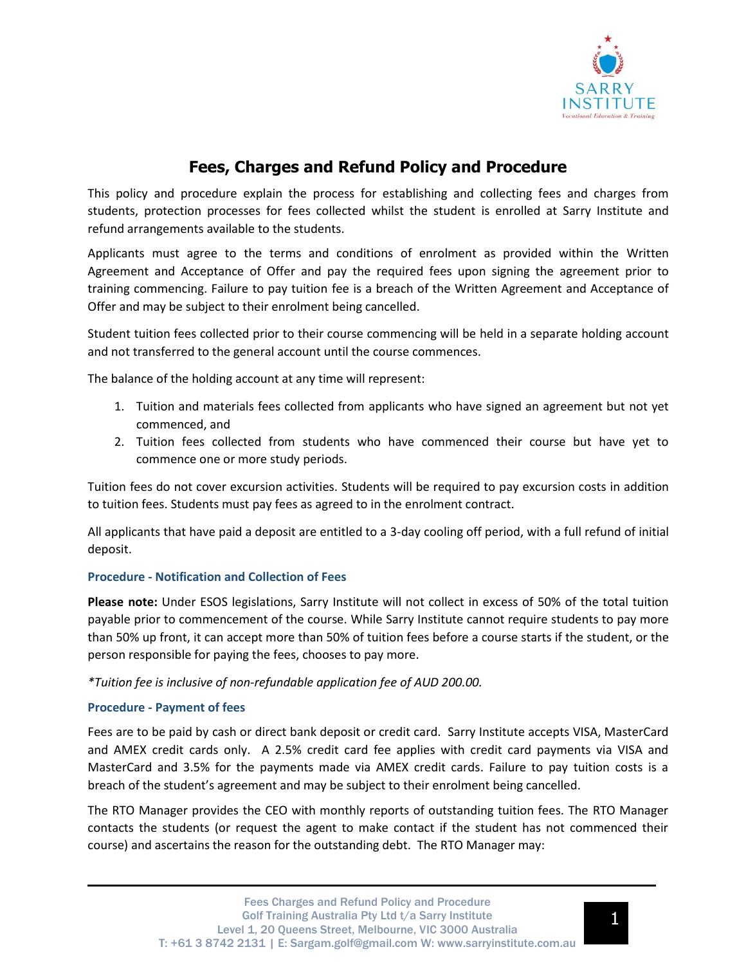

# **Fees, Charges and Refund Policy and Procedure**

This policy and procedure explain the process for establishing and collecting fees and charges from students, protection processes for fees collected whilst the student is enrolled at Sarry Institute and refund arrangements available to the students.

Applicants must agree to the terms and conditions of enrolment as provided within the Written Agreement and Acceptance of Offer and pay the required fees upon signing the agreement prior to training commencing. Failure to pay tuition fee is a breach of the Written Agreement and Acceptance of Offer and may be subject to their enrolment being cancelled.

Student tuition fees collected prior to their course commencing will be held in a separate holding account and not transferred to the general account until the course commences.

The balance of the holding account at any time will represent:

- 1. Tuition and materials fees collected from applicants who have signed an agreement but not yet commenced, and
- 2. Tuition fees collected from students who have commenced their course but have yet to commence one or more study periods.

Tuition fees do not cover excursion activities. Students will be required to pay excursion costs in addition to tuition fees. Students must pay fees as agreed to in the enrolment contract.

All applicants that have paid a deposit are entitled to a 3-day cooling off period, with a full refund of initial deposit.

# **Procedure - Notification and Collection of Fees**

**Please note:** Under ESOS legislations, Sarry Institute will not collect in excess of 50% of the total tuition payable prior to commencement of the course. While Sarry Institute cannot require students to pay more than 50% up front, it can accept more than 50% of tuition fees before a course starts if the student, or the person responsible for paying the fees, chooses to pay more.

*\*Tuition fee is inclusive of non-refundable application fee of AUD 200.00.*

# **Procedure - Payment of fees**

Fees are to be paid by cash or direct bank deposit or credit card. Sarry Institute accepts VISA, MasterCard and AMEX credit cards only. A 2.5% credit card fee applies with credit card payments via VISA and MasterCard and 3.5% for the payments made via AMEX credit cards. Failure to pay tuition costs is a breach of the student's agreement and may be subject to their enrolment being cancelled.

The RTO Manager provides the CEO with monthly reports of outstanding tuition fees. The RTO Manager contacts the students (or request the agent to make contact if the student has not commenced their course) and ascertains the reason for the outstanding debt. The RTO Manager may: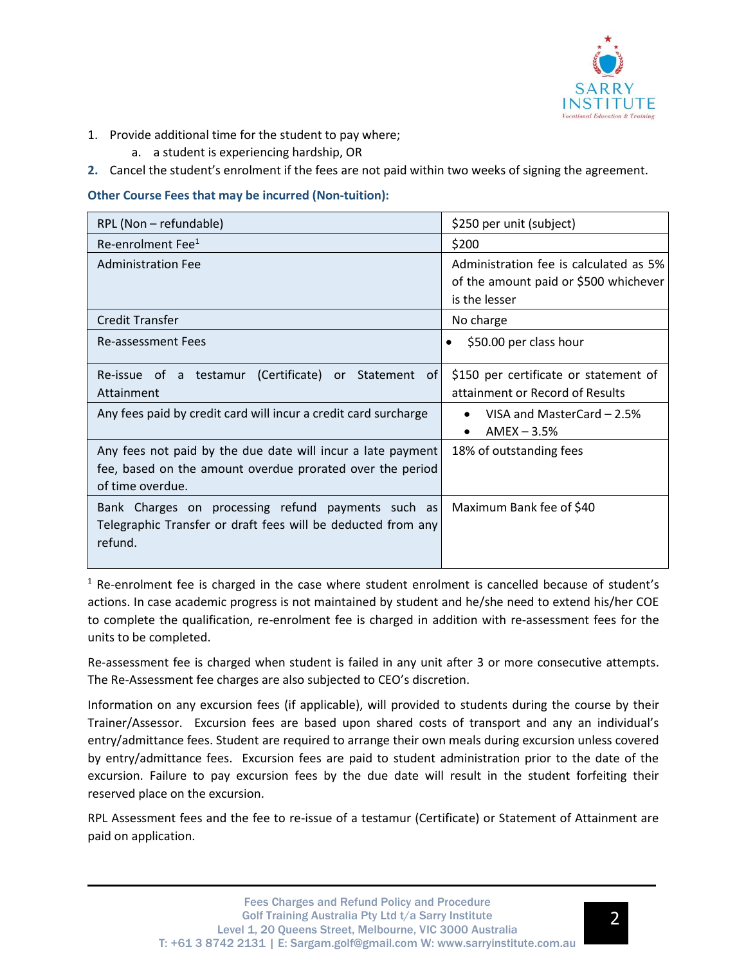

- 1. Provide additional time for the student to pay where;
	- a. a student is experiencing hardship, OR
- **2.** Cancel the student's enrolment if the fees are not paid within two weeks of signing the agreement.

# **Other Course Fees that may be incurred (Non-tuition):**

| RPL (Non - refundable)                                                                                                                       | \$250 per unit (subject)                                                                         |
|----------------------------------------------------------------------------------------------------------------------------------------------|--------------------------------------------------------------------------------------------------|
| Re-enrolment Fee <sup>1</sup>                                                                                                                | \$200                                                                                            |
| <b>Administration Fee</b>                                                                                                                    | Administration fee is calculated as 5%<br>of the amount paid or \$500 whichever<br>is the lesser |
| Credit Transfer                                                                                                                              | No charge                                                                                        |
| Re-assessment Fees                                                                                                                           | \$50.00 per class hour                                                                           |
| Re-issue of a testamur (Certificate) or Statement<br>0f<br>Attainment                                                                        | \$150 per certificate or statement of<br>attainment or Record of Results                         |
| Any fees paid by credit card will incur a credit card surcharge                                                                              | VISA and MasterCard $-2.5%$<br>$AMEX - 3.5%$<br>$\bullet$                                        |
| Any fees not paid by the due date will incur a late payment<br>fee, based on the amount overdue prorated over the period<br>of time overdue. | 18% of outstanding fees                                                                          |
| Bank Charges on processing refund payments such as<br>Telegraphic Transfer or draft fees will be deducted from any<br>refund.                | Maximum Bank fee of \$40                                                                         |

 $<sup>1</sup>$  Re-enrolment fee is charged in the case where student enrolment is cancelled because of student's</sup> actions. In case academic progress is not maintained by student and he/she need to extend his/her COE to complete the qualification, re-enrolment fee is charged in addition with re-assessment fees for the units to be completed.

Re-assessment fee is charged when student is failed in any unit after 3 or more consecutive attempts. The Re-Assessment fee charges are also subjected to CEO's discretion.

Information on any excursion fees (if applicable), will provided to students during the course by their Trainer/Assessor. Excursion fees are based upon shared costs of transport and any an individual's entry/admittance fees. Student are required to arrange their own meals during excursion unless covered by entry/admittance fees. Excursion fees are paid to student administration prior to the date of the excursion. Failure to pay excursion fees by the due date will result in the student forfeiting their reserved place on the excursion.

RPL Assessment fees and the fee to re-issue of a testamur (Certificate) or Statement of Attainment are paid on application.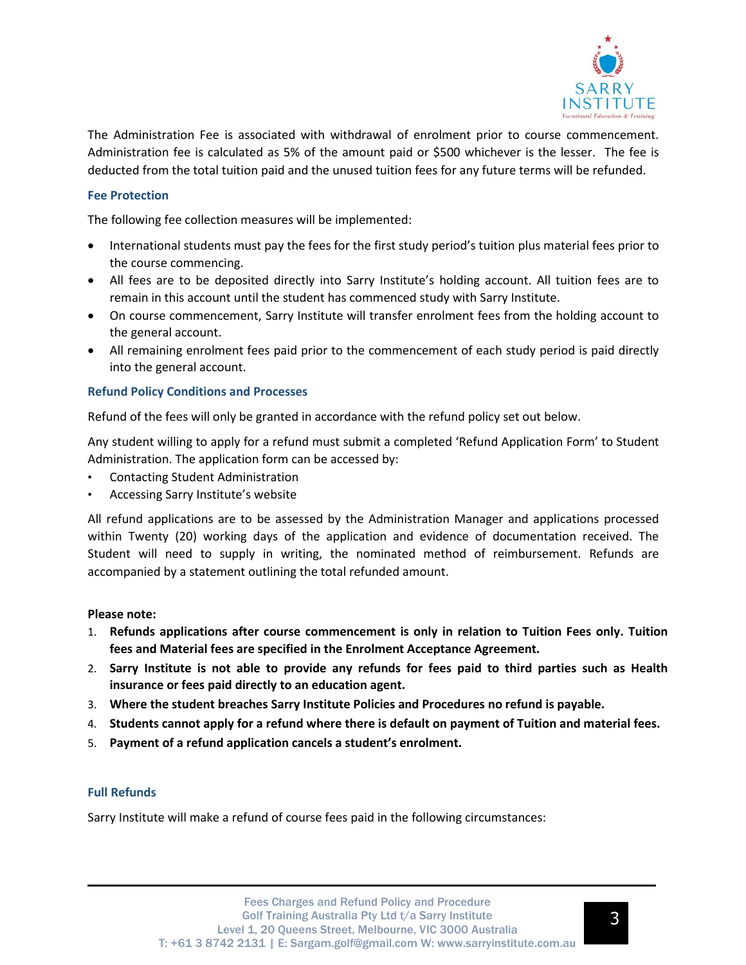

The Administration Fee is associated with withdrawal of enrolment prior to course commencement. Administration fee is calculated as 5% of the amount paid or \$500 whichever is the lesser. The fee is deducted from the total tuition paid and the unused tuition fees for any future terms will be refunded.

## **Fee Protection**

The following fee collection measures will be implemented:

- International students must pay the fees for the first study period's tuition plus material fees prior to the course commencing.
- All fees are to be deposited directly into Sarry Institute's holding account. All tuition fees are to remain in this account until the student has commenced study with Sarry Institute.
- On course commencement, Sarry Institute will transfer enrolment fees from the holding account to the general account.
- All remaining enrolment fees paid prior to the commencement of each study period is paid directly into the general account.

#### **Refund Policy Conditions and Processes**

Refund of the fees will only be granted in accordance with the refund policy set out below.

Any student willing to apply for a refund must submit a completed 'Refund Application Form' to Student Administration. The application form can be accessed by:

- Contacting Student Administration
- Accessing Sarry Institute's website

All refund applications are to be assessed by the Administration Manager and applications processed within Twenty (20) working days of the application and evidence of documentation received. The Student will need to supply in writing, the nominated method of reimbursement. Refunds are accompanied by a statement outlining the total refunded amount.

#### **Please note:**

- 1. **Refunds applications after course commencement is only in relation to Tuition Fees only. Tuition fees and Material fees are specified in the Enrolment Acceptance Agreement.**
- 2. **Sarry Institute is not able to provide any refunds for fees paid to third parties such as Health insurance or fees paid directly to an education agent.**
- 3. **Where the student breaches Sarry Institute Policies and Procedures no refund is payable.**
- 4. **Students cannot apply for a refund where there is default on payment of Tuition and material fees.**
- 5. **Payment of a refund application cancels a student's enrolment.**

#### **Full Refunds**

Sarry Institute will make a refund of course fees paid in the following circumstances: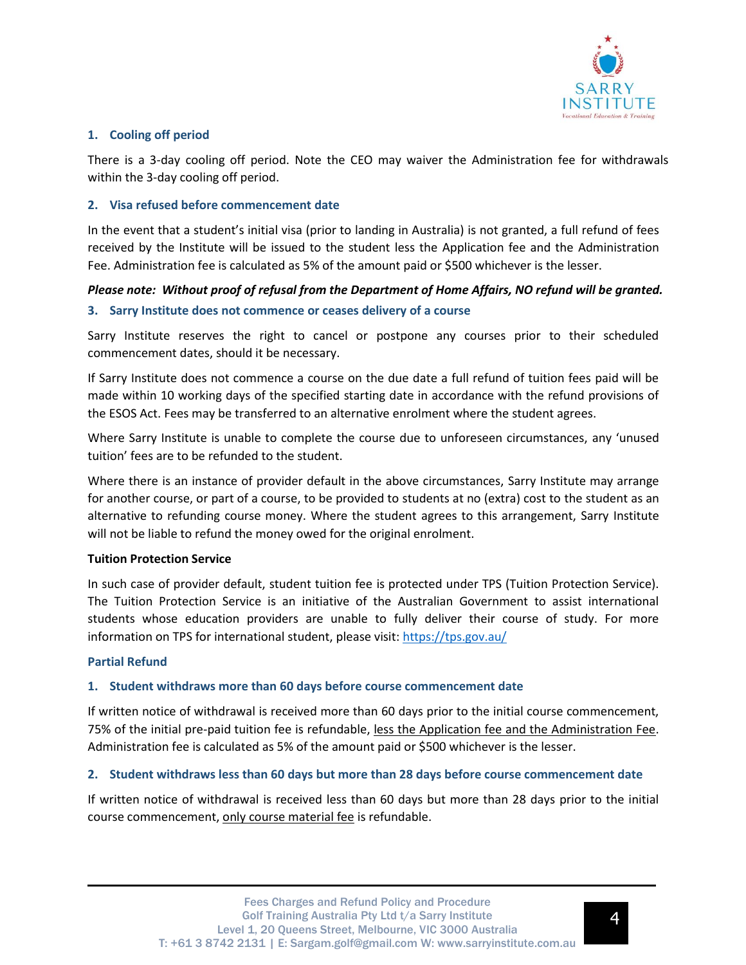

## **1. Cooling off period**

There is a 3-day cooling off period. Note the CEO may waiver the Administration fee for withdrawals within the 3-day cooling off period.

## **2. Visa refused before commencement date**

In the event that a student's initial visa (prior to landing in Australia) is not granted, a full refund of fees received by the Institute will be issued to the student less the Application fee and the Administration Fee. Administration fee is calculated as 5% of the amount paid or \$500 whichever is the lesser.

# *Please note: Without proof of refusal from the Department of Home Affairs, NO refund will be granted.*

## **3. Sarry Institute does not commence or ceases delivery of a course**

Sarry Institute reserves the right to cancel or postpone any courses prior to their scheduled commencement dates, should it be necessary.

If Sarry Institute does not commence a course on the due date a full refund of tuition fees paid will be made within 10 working days of the specified starting date in accordance with the refund provisions of the ESOS Act. Fees may be transferred to an alternative enrolment where the student agrees.

Where Sarry Institute is unable to complete the course due to unforeseen circumstances, any 'unused tuition' fees are to be refunded to the student.

Where there is an instance of provider default in the above circumstances, Sarry Institute may arrange for another course, or part of a course, to be provided to students at no (extra) cost to the student as an alternative to refunding course money. Where the student agrees to this arrangement, Sarry Institute will not be liable to refund the money owed for the original enrolment.

#### **Tuition Protection Service**

In such case of provider default, student tuition fee is protected under TPS (Tuition Protection Service). The Tuition Protection Service is an initiative of the Australian Government to assist international students whose education providers are unable to fully deliver their course of study. For more information on TPS for international student, please visit: <https://tps.gov.au/>

#### **Partial Refund**

#### **1. Student withdraws more than 60 days before course commencement date**

If written notice of withdrawal is received more than 60 days prior to the initial course commencement, 75% of the initial pre-paid tuition fee is refundable, less the Application fee and the Administration Fee. Administration fee is calculated as 5% of the amount paid or \$500 whichever is the lesser.

#### **2. Student withdraws less than 60 days but more than 28 days before course commencement date**

If written notice of withdrawal is received less than 60 days but more than 28 days prior to the initial course commencement, only course material fee is refundable.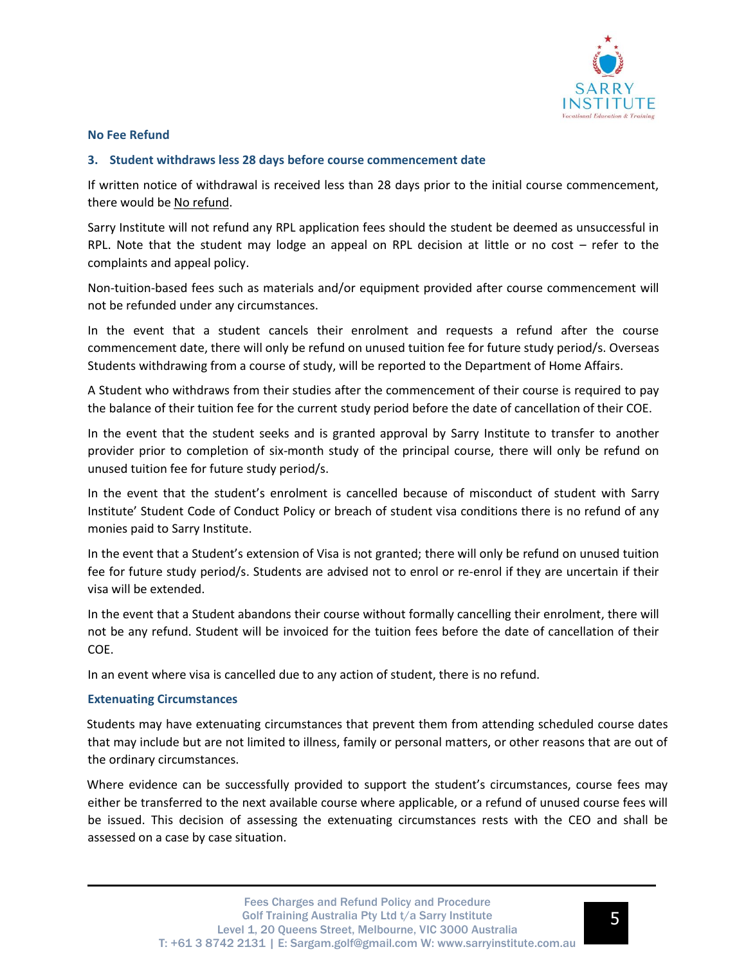

#### **No Fee Refund**

#### **3. Student withdraws less 28 days before course commencement date**

If written notice of withdrawal is received less than 28 days prior to the initial course commencement, there would be No refund.

Sarry Institute will not refund any RPL application fees should the student be deemed as unsuccessful in RPL. Note that the student may lodge an appeal on RPL decision at little or no cost – refer to the complaints and appeal policy.

Non-tuition-based fees such as materials and/or equipment provided after course commencement will not be refunded under any circumstances.

In the event that a student cancels their enrolment and requests a refund after the course commencement date, there will only be refund on unused tuition fee for future study period/s. Overseas Students withdrawing from a course of study, will be reported to the Department of Home Affairs.

A Student who withdraws from their studies after the commencement of their course is required to pay the balance of their tuition fee for the current study period before the date of cancellation of their COE.

In the event that the student seeks and is granted approval by Sarry Institute to transfer to another provider prior to completion of six-month study of the principal course, there will only be refund on unused tuition fee for future study period/s.

In the event that the student's enrolment is cancelled because of misconduct of student with Sarry Institute' Student Code of Conduct Policy or breach of student visa conditions there is no refund of any monies paid to Sarry Institute.

In the event that a Student's extension of Visa is not granted; there will only be refund on unused tuition fee for future study period/s. Students are advised not to enrol or re-enrol if they are uncertain if their visa will be extended.

In the event that a Student abandons their course without formally cancelling their enrolment, there will not be any refund. Student will be invoiced for the tuition fees before the date of cancellation of their COE.

In an event where visa is cancelled due to any action of student, there is no refund.

#### **Extenuating Circumstances**

Students may have extenuating circumstances that prevent them from attending scheduled course dates that may include but are not limited to illness, family or personal matters, or other reasons that are out of the ordinary circumstances.

Where evidence can be successfully provided to support the student's circumstances, course fees may either be transferred to the next available course where applicable, or a refund of unused course fees will be issued. This decision of assessing the extenuating circumstances rests with the CEO and shall be assessed on a case by case situation.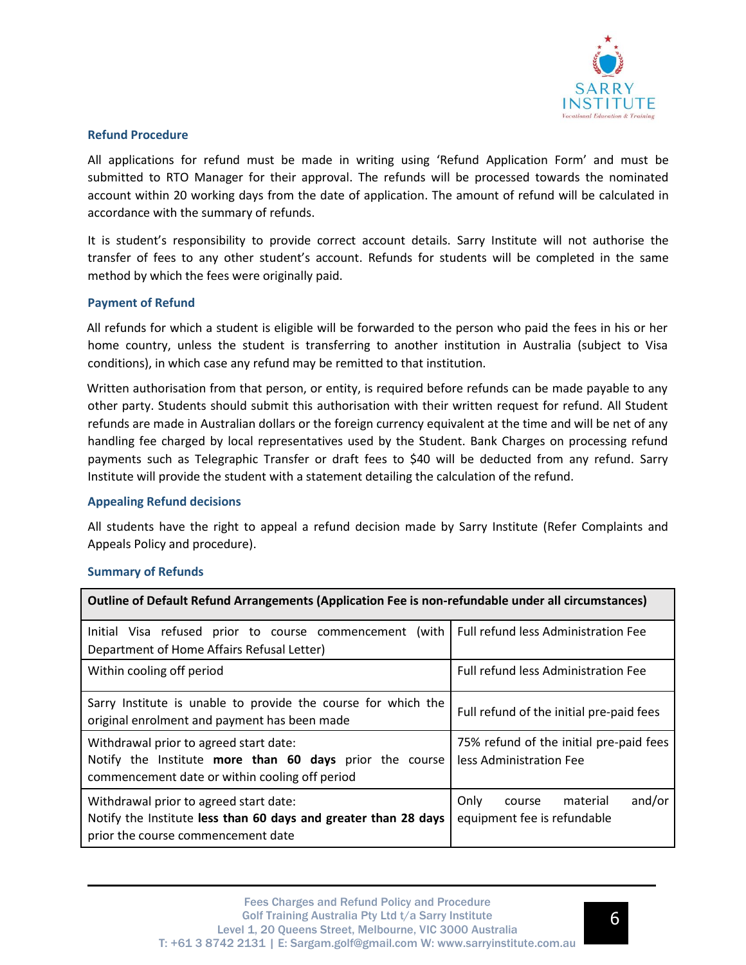

### **Refund Procedure**

All applications for refund must be made in writing using 'Refund Application Form' and must be submitted to RTO Manager for their approval. The refunds will be processed towards the nominated account within 20 working days from the date of application. The amount of refund will be calculated in accordance with the summary of refunds.

It is student's responsibility to provide correct account details. Sarry Institute will not authorise the transfer of fees to any other student's account. Refunds for students will be completed in the same method by which the fees were originally paid.

## **Payment of Refund**

All refunds for which a student is eligible will be forwarded to the person who paid the fees in his or her home country, unless the student is transferring to another institution in Australia (subject to Visa conditions), in which case any refund may be remitted to that institution.

Written authorisation from that person, or entity, is required before refunds can be made payable to any other party. Students should submit this authorisation with their written request for refund. All Student refunds are made in Australian dollars or the foreign currency equivalent at the time and will be net of any handling fee charged by local representatives used by the Student. Bank Charges on processing refund payments such as Telegraphic Transfer or draft fees to \$40 will be deducted from any refund. Sarry Institute will provide the student with a statement detailing the calculation of the refund.

#### **Appealing Refund decisions**

All students have the right to appeal a refund decision made by Sarry Institute (Refer Complaints and Appeals Policy and procedure).

#### **Summary of Refunds**

| Outline of Default Refund Arrangements (Application Fee is non-refundable under all circumstances)                                                  |                                                                     |
|-----------------------------------------------------------------------------------------------------------------------------------------------------|---------------------------------------------------------------------|
| Initial Visa refused prior to course commencement (with<br>Department of Home Affairs Refusal Letter)                                               | Full refund less Administration Fee                                 |
| Within cooling off period                                                                                                                           | Full refund less Administration Fee                                 |
| Sarry Institute is unable to provide the course for which the<br>original enrolment and payment has been made                                       | Full refund of the initial pre-paid fees                            |
| Withdrawal prior to agreed start date:<br>Notify the Institute more than 60 days prior the course<br>commencement date or within cooling off period | 75% refund of the initial pre-paid fees<br>less Administration Fee  |
| Withdrawal prior to agreed start date:<br>Notify the Institute less than 60 days and greater than 28 days<br>prior the course commencement date     | and/or<br>Only<br>material<br>course<br>equipment fee is refundable |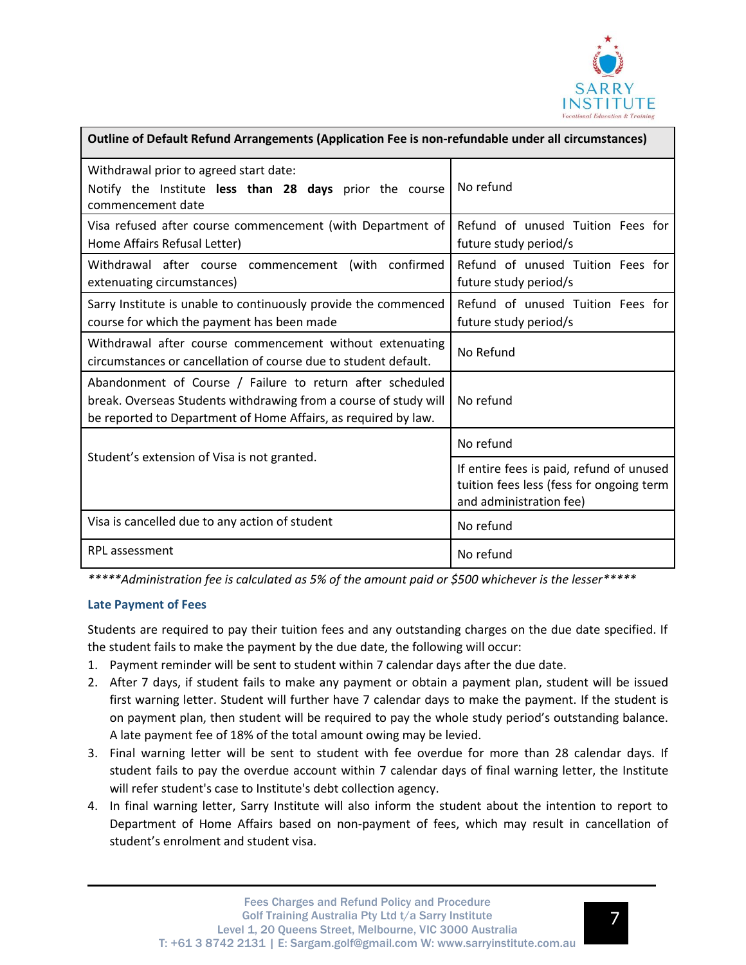

| Outline of Default Refund Arrangements (Application Fee is non-refundable under all circumstances)                                                                                              |                                                                                                                 |
|-------------------------------------------------------------------------------------------------------------------------------------------------------------------------------------------------|-----------------------------------------------------------------------------------------------------------------|
| Withdrawal prior to agreed start date:<br>Notify the Institute less than 28 days prior the course<br>commencement date                                                                          | No refund                                                                                                       |
| Visa refused after course commencement (with Department of<br>Home Affairs Refusal Letter)                                                                                                      | Refund of unused Tuition Fees for<br>future study period/s                                                      |
| Withdrawal after course commencement (with confirmed<br>extenuating circumstances)                                                                                                              | Refund of unused Tuition Fees for<br>future study period/s                                                      |
| Sarry Institute is unable to continuously provide the commenced<br>course for which the payment has been made                                                                                   | Refund of unused Tuition Fees for<br>future study period/s                                                      |
| Withdrawal after course commencement without extenuating<br>circumstances or cancellation of course due to student default.                                                                     | No Refund                                                                                                       |
| Abandonment of Course / Failure to return after scheduled<br>break. Overseas Students withdrawing from a course of study will<br>be reported to Department of Home Affairs, as required by law. | No refund                                                                                                       |
| Student's extension of Visa is not granted.                                                                                                                                                     | No refund                                                                                                       |
|                                                                                                                                                                                                 | If entire fees is paid, refund of unused<br>tuition fees less (fess for ongoing term<br>and administration fee) |
| Visa is cancelled due to any action of student                                                                                                                                                  | No refund                                                                                                       |
| <b>RPL</b> assessment                                                                                                                                                                           | No refund                                                                                                       |

*\*\*\*\*\*Administration fee is calculated as 5% of the amount paid or \$500 whichever is the lesser\*\*\*\*\**

# **Late Payment of Fees**

Students are required to pay their tuition fees and any outstanding charges on the due date specified. If the student fails to make the payment by the due date, the following will occur:

- 1. Payment reminder will be sent to student within 7 calendar days after the due date.
- 2. After 7 days, if student fails to make any payment or obtain a payment plan, student will be issued first warning letter. Student will further have 7 calendar days to make the payment. If the student is on payment plan, then student will be required to pay the whole study period's outstanding balance. A late payment fee of 18% of the total amount owing may be levied.
- 3. Final warning letter will be sent to student with fee overdue for more than 28 calendar days. If student fails to pay the overdue account within 7 calendar days of final warning letter, the Institute will refer student's case to Institute's debt collection agency.
- 4. In final warning letter, Sarry Institute will also inform the student about the intention to report to Department of Home Affairs based on non-payment of fees, which may result in cancellation of student's enrolment and student visa.

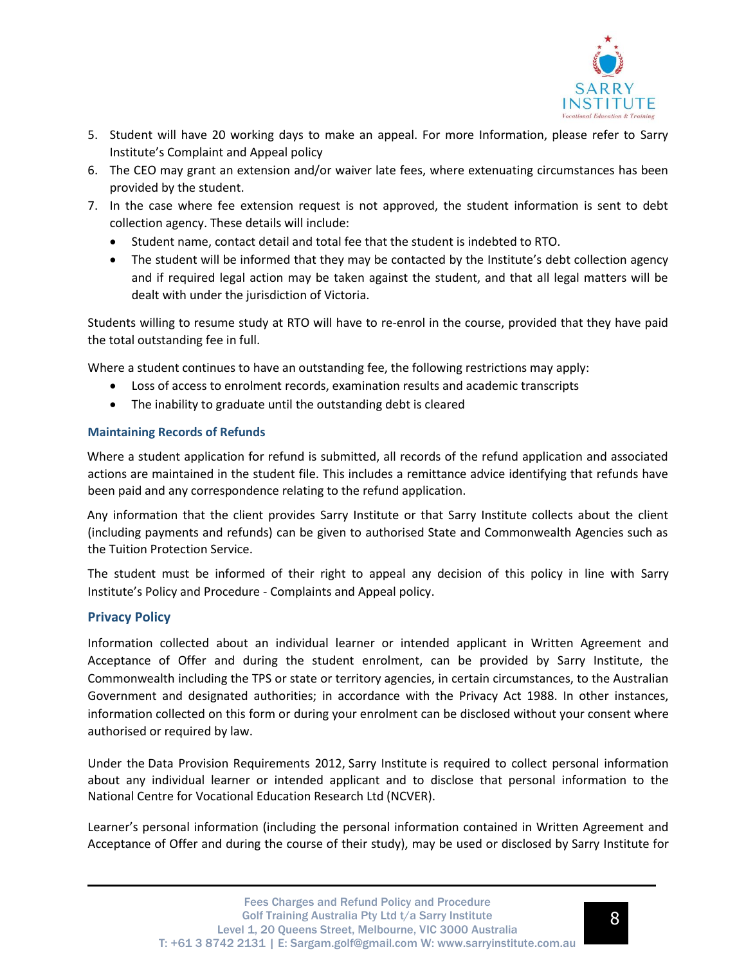

- 5. Student will have 20 working days to make an appeal. For more Information, please refer to Sarry Institute's Complaint and Appeal policy
- 6. The CEO may grant an extension and/or waiver late fees, where extenuating circumstances has been provided by the student.
- 7. In the case where fee extension request is not approved, the student information is sent to debt collection agency. These details will include:
	- Student name, contact detail and total fee that the student is indebted to RTO.
	- The student will be informed that they may be contacted by the Institute's debt collection agency and if required legal action may be taken against the student, and that all legal matters will be dealt with under the jurisdiction of Victoria.

Students willing to resume study at RTO will have to re-enrol in the course, provided that they have paid the total outstanding fee in full.

Where a student continues to have an outstanding fee, the following restrictions may apply:

- Loss of access to enrolment records, examination results and academic transcripts
- The inability to graduate until the outstanding debt is cleared

# **Maintaining Records of Refunds**

Where a student application for refund is submitted, all records of the refund application and associated actions are maintained in the student file. This includes a remittance advice identifying that refunds have been paid and any correspondence relating to the refund application.

Any information that the client provides Sarry Institute or that Sarry Institute collects about the client (including payments and refunds) can be given to authorised State and Commonwealth Agencies such as the Tuition Protection Service.

The student must be informed of their right to appeal any decision of this policy in line with Sarry Institute's Policy and Procedure - Complaints and Appeal policy.

# **Privacy Policy**

Information collected about an individual learner or intended applicant in Written Agreement and Acceptance of Offer and during the student enrolment, can be provided by Sarry Institute, the Commonwealth including the TPS or state or territory agencies, in certain circumstances, to the Australian Government and designated authorities; in accordance with the Privacy Act 1988. In other instances, information collected on this form or during your enrolment can be disclosed without your consent where authorised or required by law.

Under the Data Provision Requirements 2012, Sarry Institute is required to collect personal information about any individual learner or intended applicant and to disclose that personal information to the National Centre for Vocational Education Research Ltd (NCVER).

Learner's personal information (including the personal information contained in Written Agreement and Acceptance of Offer and during the course of their study), may be used or disclosed by Sarry Institute for